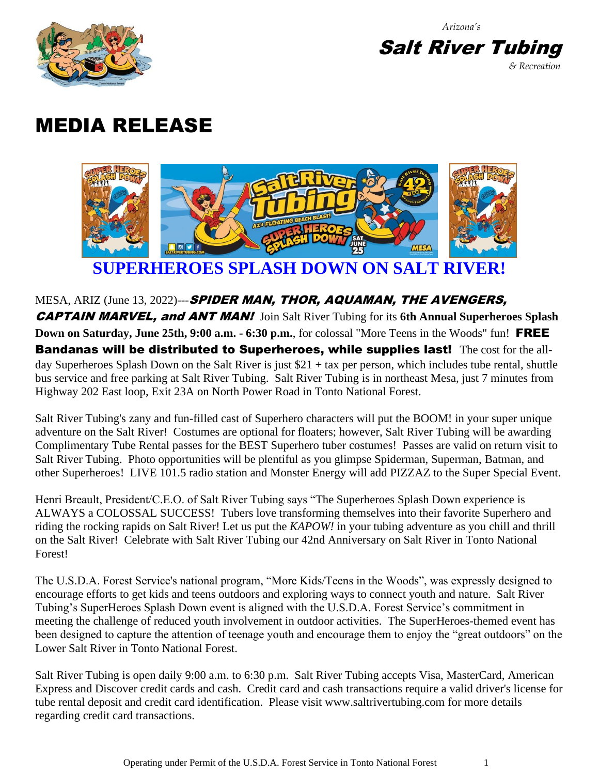*Arizona's*



**Salt River Tubing** *& Recreation*

## MEDIA RELEASE



MESA, ARIZ (June 13, 2022)--- SPIDER MAN, THOR, AQUAMAN, THE AVENGERS, CAPTAIN MARVEL, and ANT MAN! Join Salt River Tubing for its **6th Annual Superheroes Splash Down on Saturday, June 25th, 9:00 a.m. - 6:30 p.m.**, for colossal "More Teens in the Woods" fun! FREE Bandanas will be distributed to Superheroes, while supplies last! The cost for the allday Superheroes Splash Down on the Salt River is just \$21 + tax per person, which includes tube rental, shuttle bus service and free parking at Salt River Tubing. Salt River Tubing is in northeast Mesa, just 7 minutes from Highway 202 East loop, Exit 23A on North Power Road in Tonto National Forest.

Salt River Tubing's zany and fun-filled cast of Superhero characters will put the BOOM! in your super unique adventure on the Salt River! Costumes are optional for floaters; however, Salt River Tubing will be awarding Complimentary Tube Rental passes for the BEST Superhero tuber costumes! Passes are valid on return visit to Salt River Tubing. Photo opportunities will be plentiful as you glimpse Spiderman, Superman, Batman, and other Superheroes! LIVE 101.5 radio station and Monster Energy will add PIZZAZ to the Super Special Event.

Henri Breault, President/C.E.O. of Salt River Tubing says "The Superheroes Splash Down experience is ALWAYS a COLOSSAL SUCCESS! Tubers love transforming themselves into their favorite Superhero and riding the rocking rapids on Salt River! Let us put the *KAPOW!* in your tubing adventure as you chill and thrill on the Salt River! Celebrate with Salt River Tubing our 42nd Anniversary on Salt River in Tonto National Forest!

The U.S.D.A. Forest Service's national program, "More Kids/Teens in the Woods", was expressly designed to encourage efforts to get kids and teens outdoors and exploring ways to connect youth and nature. Salt River Tubing's SuperHeroes Splash Down event is aligned with the U.S.D.A. Forest Service's commitment in meeting the challenge of reduced youth involvement in outdoor activities. The SuperHeroes-themed event has been designed to capture the attention of teenage youth and encourage them to enjoy the "great outdoors" on the Lower Salt River in Tonto National Forest.

Salt River Tubing is open daily 9:00 a.m. to 6:30 p.m. Salt River Tubing accepts Visa, MasterCard, American Express and Discover credit cards and cash. Credit card and cash transactions require a valid driver's license for tube rental deposit and credit card identification. Please visit www.saltrivertubing.com for more details regarding credit card transactions.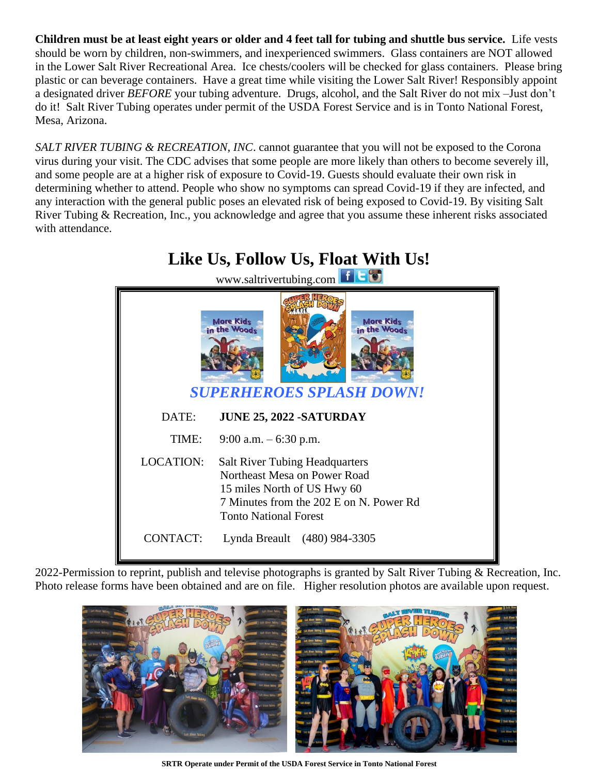**Children must be at least eight years or older and 4 feet tall for tubing and shuttle bus service.** Life vests should be worn by children, non-swimmers, and inexperienced swimmers. Glass containers are NOT allowed in the Lower Salt River Recreational Area. Ice chests/coolers will be checked for glass containers. Please bring plastic or can beverage containers. Have a great time while visiting the Lower Salt River! Responsibly appoint a designated driver *BEFORE* your tubing adventure. Drugs, alcohol, and the Salt River do not mix –Just don't do it! Salt River Tubing operates under permit of the USDA Forest Service and is in Tonto National Forest, Mesa, Arizona.

*SALT RIVER TUBING & RECREATION, INC*. cannot guarantee that you will not be exposed to the Corona virus during your visit. The CDC advises that some people are more likely than others to become severely ill, and some people are at a higher risk of exposure to Covid-19. Guests should evaluate their own risk in determining whether to attend. People who show no symptoms can spread Covid-19 if they are infected, and any interaction with the general public poses an elevated risk of being exposed to Covid-19. By visiting Salt River Tubing & Recreation, Inc., you acknowledge and agree that you assume these inherent risks associated with attendance.



2022-Permission to reprint, publish and televise photographs is granted by Salt River Tubing & Recreation, Inc. Photo release forms have been obtained and are on file. Higher resolution photos are available upon request.



**SRTR Operate under Permit of the USDA Forest Service in Tonto National Forest**